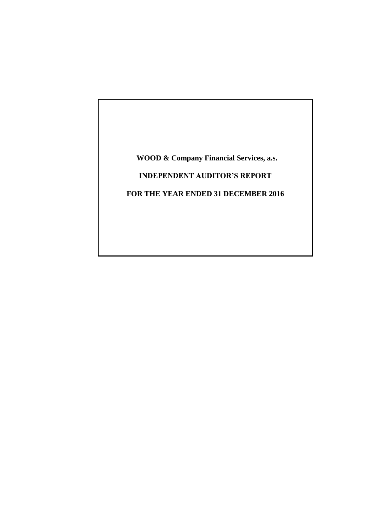**WOOD & Company Financial Services, a.s.**

# **INDEPENDENT AUDITOR'S REPORT**

**FOR THE YEAR ENDED 31 DECEMBER 2016**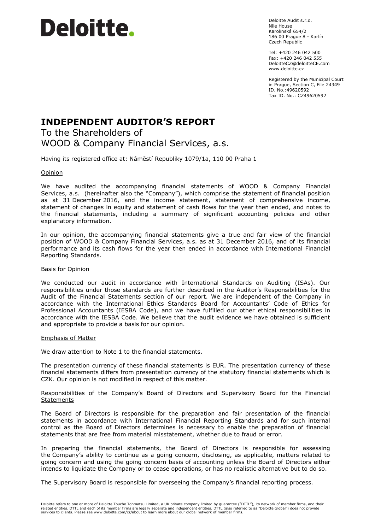# **Deloitte.**

Deloitte Audit s.r.o. Nile House Karolinská 654/2 186 00 Prague 8 - Karlín Czech Republic

Tel: +420 246 042 500 Fax: +420 246 042 555 DeloitteCZ@deloitteCE.com www.deloitte.cz

Registered by the Municipal Court in Prague, Section C, File 24349 ID. No.:49620592 Tax ID. No.: CZ49620592

# **INDEPENDENT AUDITOR'S REPORT**

To the Shareholders of WOOD & Company Financial Services, a.s.

Having its registered office at: Náměstí Republiky 1079/1a, 110 00 Praha 1

#### Opinion

We have audited the accompanying financial statements of WOOD & Company Financial Services, a.s. (hereinafter also the "Company"), which comprise the statement of financial position as at 31 December 2016, and the income statement, statement of comprehensive income, statement of changes in equity and statement of cash flows for the year then ended, and notes to the financial statements, including a summary of significant accounting policies and other explanatory information.

In our opinion, the accompanying financial statements give a true and fair view of the financial position of WOOD & Company Financial Services, a.s. as at 31 December 2016, and of its financial performance and its cash flows for the year then ended in accordance with International Financial Reporting Standards.

#### **Basis for Opinion**

We conducted our audit in accordance with International Standards on Auditing (ISAs). Our responsibilities under those standards are further described in the Auditor's Responsibilities for the Audit of the Financial Statements section of our report. We are independent of the Company in accordance with the International Ethics Standards Board for Accountants' Code of Ethics for Professional Accountants (IESBA Code), and we have fulfilled our other ethical responsibilities in accordance with the IESBA Code. We believe that the audit evidence we have obtained is sufficient and appropriate to provide a basis for our opinion.

#### Emphasis of Matter

We draw attention to Note 1 to the financial statements.

The presentation currency of these financial statements is EUR. The presentation currency of these financial statements differs from presentation currency of the statutory financial statements which is CZK. Our opinion is not modified in respect of this matter.

#### Responsibilities of the Company's Board of Directors and Supervisory Board for the Financial **Statements**

The Board of Directors is responsible for the preparation and fair presentation of the financial statements in accordance with International Financial Reporting Standards and for such internal control as the Board of Directors determines is necessary to enable the preparation of financial statements that are free from material misstatement, whether due to fraud or error.

In preparing the financial statements, the Board of Directors is responsible for assessing the Company's ability to continue as a going concern, disclosing, as applicable, matters related to going concern and using the going concern basis of accounting unless the Board of Directors either intends to liquidate the Company or to cease operations, or has no realistic alternative but to do so.

The Supervisory Board is responsible for overseeing the Company's financial reporting process.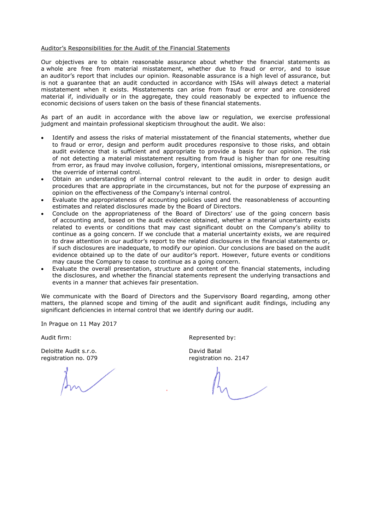#### Auditor's Responsibilities for the Audit of the Financial Statements

Our objectives are to obtain reasonable assurance about whether the financial statements as a whole are free from material misstatement, whether due to fraud or error, and to issue an auditor's report that includes our opinion. Reasonable assurance is a high level of assurance, but is not a guarantee that an audit conducted in accordance with ISAs will always detect a material misstatement when it exists. Misstatements can arise from fraud or error and are considered material if, individually or in the aggregate, they could reasonably be expected to influence the economic decisions of users taken on the basis of these financial statements.

As part of an audit in accordance with the above law or regulation, we exercise professional judgment and maintain professional skepticism throughout the audit. We also:

- Identify and assess the risks of material misstatement of the financial statements, whether due to fraud or error, design and perform audit procedures responsive to those risks, and obtain audit evidence that is sufficient and appropriate to provide a basis for our opinion. The risk of not detecting a material misstatement resulting from fraud is higher than for one resulting from error, as fraud may involve collusion, forgery, intentional omissions, misrepresentations, or the override of internal control.
- Obtain an understanding of internal control relevant to the audit in order to design audit procedures that are appropriate in the circumstances, but not for the purpose of expressing an opinion on the effectiveness of the Company's internal control.
- Evaluate the appropriateness of accounting policies used and the reasonableness of accounting estimates and related disclosures made by the Board of Directors.
- Conclude on the appropriateness of the Board of Directors' use of the going concern basis of accounting and, based on the audit evidence obtained, whether a material uncertainty exists related to events or conditions that may cast significant doubt on the Company's ability to continue as a going concern. If we conclude that a material uncertainty exists, we are required to draw attention in our auditor's report to the related disclosures in the financial statements or, if such disclosures are inadequate, to modify our opinion. Our conclusions are based on the audit evidence obtained up to the date of our auditor's report. However, future events or conditions may cause the Company to cease to continue as a going concern.
- Evaluate the overall presentation, structure and content of the financial statements, including the disclosures, and whether the financial statements represent the underlying transactions and events in a manner that achieves fair presentation.

We communicate with the Board of Directors and the Supervisory Board regarding, among other matters, the planned scope and timing of the audit and significant audit findings, including any significant deficiencies in internal control that we identify during our audit.

In Prague on 11 May 2017

Deloitte Audit s.r.o. registration no. 079

Audit firm: The contract of the contract of the Represented by:

David Batal registration no. 2147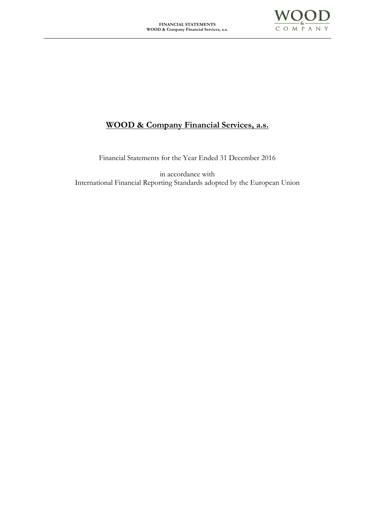

# **WOOD & Company Financial Services, a.s.**

Financial Statements for the Year Ended 31 December 2016

in accordance with International Financial Reporting Standards adopted by the European Union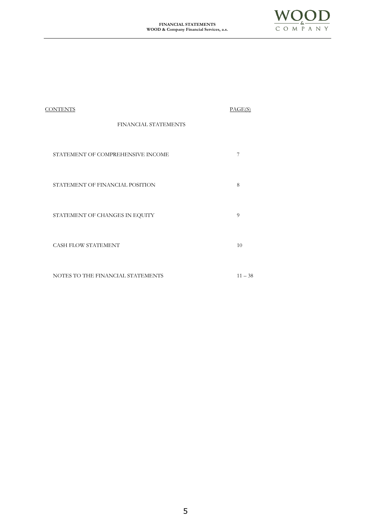

| CONTENTS                          | PAGE(S)   |
|-----------------------------------|-----------|
| FINANCIAL STATEMENTS              |           |
| STATEMENT OF COMPREHENSIVE INCOME | 7         |
| STATEMENT OF FINANCIAL POSITION   | 8         |
| STATEMENT OF CHANGES IN EQUITY    | $\Omega$  |
| <b>CASH FLOW STATEMENT</b>        | 10        |
| NOTES TO THE FINANCIAL STATEMENTS | $11 - 38$ |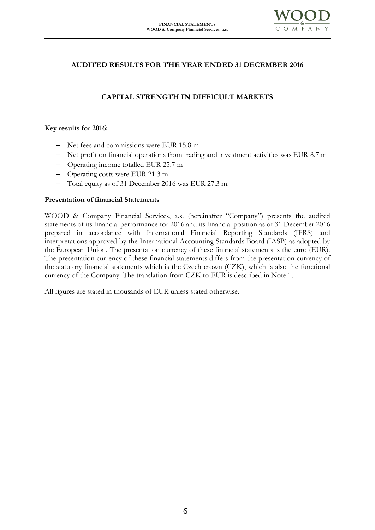

# **AUDITED RESULTS FOR THE YEAR ENDED 31 DECEMBER 2016**

# **CAPITAL STRENGTH IN DIFFICULT MARKETS**

#### **Key results for 2016:**

- Net fees and commissions were EUR 15.8 m
- Net profit on financial operations from trading and investment activities was EUR 8.7 m
- Operating income totalled EUR 25.7 m
- Operating costs were EUR 21.3 m
- Total equity as of 31 December 2016 was EUR 27.3 m.

#### **Presentation of financial Statements**

WOOD & Company Financial Services, a.s. (hereinafter "Company") presents the audited statements of its financial performance for 2016 and its financial position as of 31 December 2016 prepared in accordance with International Financial Reporting Standards (IFRS) and interpretations approved by the International Accounting Standards Board (IASB) as adopted by the European Union. The presentation currency of these financial statements is the euro (EUR). The presentation currency of these financial statements differs from the presentation currency of the statutory financial statements which is the Czech crown (CZK), which is also the functional currency of the Company. The translation from CZK to EUR is described in Note 1.

All figures are stated in thousands of EUR unless stated otherwise.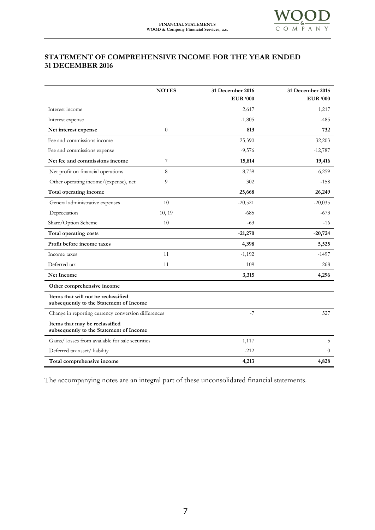# **STATEMENT OF COMPREHENSIVE INCOME FOR THE YEAR ENDED 31 DECEMBER 2016**

|                                                                                | <b>NOTES</b>   | 31 December 2016 | 31 December 2015 |
|--------------------------------------------------------------------------------|----------------|------------------|------------------|
|                                                                                |                | <b>EUR '000</b>  | <b>EUR '000</b>  |
| Interest income                                                                |                | 2,617            | 1,217            |
| Interest expense                                                               |                | $-1,805$         | $-485$           |
| Net interest expense                                                           | $\overline{0}$ | 813              | 732              |
| Fee and commissions income                                                     |                | 25,390           | 32,203           |
| Fee and commissions expense                                                    |                | $-9,576$         | $-12,787$        |
| Net fee and commissions income                                                 | 7              | 15,814           | 19,416           |
| Net profit on financial operations                                             | 8              | 8,739            | 6,259            |
| Other operating income/(expense), net                                          | 9              | 302              | $-158$           |
| Total operating income                                                         |                | 25,668           | 26,249           |
| General administrative expenses                                                | 10             | $-20,521$        | $-20,035$        |
| Depreciation                                                                   | 10, 19         | $-685$           | $-673$           |
| Share/Option Scheme                                                            | 10             | $-63$            | $-16$            |
| Total operating costs                                                          |                | $-21,270$        | $-20,724$        |
| Profit before income taxes                                                     |                | 4,398            | 5,525            |
| Income taxes                                                                   | 11             | $-1,192$         | $-1497$          |
| Deferred tax                                                                   | 11             | 109              | 268              |
| Net Income                                                                     |                | 3,315            | 4,296            |
| Other comprehensive income                                                     |                |                  |                  |
| Items that will not be reclassified<br>subsequently to the Statement of Income |                |                  |                  |
| Change in reporting currency conversion differences                            |                | $-7$             | 527              |
| Items that may be reclassified<br>subsequently to the Statement of Income      |                |                  |                  |
| Gains/ losses from available for sale securities                               |                | 1,117            | 5                |
| Deferred tax asset/liability                                                   |                | $-212$           | $\overline{0}$   |
| Total comprehensive income                                                     |                | 4,213            | 4,828            |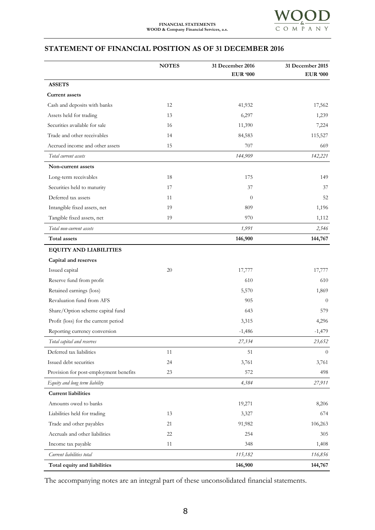

# **STATEMENT OF FINANCIAL POSITION AS OF 31 DECEMBER 2016**

|                                        | <b>NOTES</b> | 31 December 2016<br><b>EUR '000</b> | 31 December 2015<br><b>EUR '000</b> |
|----------------------------------------|--------------|-------------------------------------|-------------------------------------|
| <b>ASSETS</b>                          |              |                                     |                                     |
| <b>Current assets</b>                  |              |                                     |                                     |
| Cash and deposits with banks           | 12           | 41,932                              | 17,562                              |
| Assets held for trading                | 13           | 6,297                               | 1,239                               |
| Securities available for sale          | 16           | 11,390                              | 7,224                               |
| Trade and other receivables            | 14           | 84,583                              | 115,527                             |
| Accrued income and other assets        | 15           | 707                                 | 669                                 |
| Total current assets                   |              | 144,909                             | 142,221                             |
| Non-current assets                     |              |                                     |                                     |
| Long-term receivables                  | 18           | 175                                 | 149                                 |
| Securities held to maturity            | 17           | 37                                  | 37                                  |
| Deferred tax assets                    | 11           | $\theta$                            | 52                                  |
| Intangible fixed assets, net           | 19           | 809                                 | 1,196                               |
| Tangible fixed assets, net             | 19           | 970                                 | 1,112                               |
| Total non-current assets               |              | 1,991                               | 2,546                               |
| <b>Total assets</b>                    |              | 146,900                             | 144,767                             |
| <b>EQUITY AND LIABILITIES</b>          |              |                                     |                                     |
| Capital and reserves                   |              |                                     |                                     |
| Issued capital                         | 20           | 17,777                              | 17,777                              |
| Reserve fund from profit               |              | 610                                 | 610                                 |
| Retained earnings (loss)               |              | 5,570                               | 1,869                               |
| Revaluation fund from AFS              |              | 905                                 | $\theta$                            |
| Share/Option scheme capital fund       |              | 643                                 | 579                                 |
| Profit (loss) for the current period   |              | 3,315                               | 4,296                               |
| Reporting currency conversion          |              | $-1,486$                            | $-1,479$                            |
| Total capital and reserves             |              | 27,334                              | 23,652                              |
| Deferred tax liabilities               | 11           | 51                                  | $\theta$                            |
| Issued debt securities                 | 24           | 3,761                               | 3,761                               |
| Provision for post-employment benefits | 23           | 572                                 | 498                                 |
| Equity and long term liability         |              | 4,384                               | 27,911                              |
| <b>Current liabilities</b>             |              |                                     |                                     |
| Amounts owed to banks                  |              | 19,271                              | 8,206                               |
| Liabilities held for trading           | 13           | 3,327                               | 674                                 |
| Trade and other payables               | 21           | 91,982                              | 106,263                             |
| Accruals and other liabilities         | 22           | 254                                 | 305                                 |
| Income tax payable                     | 11           | 348                                 | 1,408                               |
| Current liabilities total              |              | 115,182                             | 116,856                             |
| Total equity and liabilities           |              | 146,900                             | 144,767                             |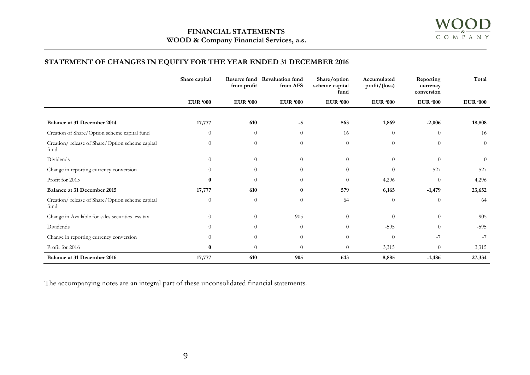# **FINANCIAL STATEMENTS WOOD & Company Financial Services, a.s.**



# **STATEMENT OF CHANGES IN EQUITY FOR THE YEAR ENDED 31 DECEMBER 2016**

|                                                         | Share capital   | Reserve fund<br>from profit | <b>Revaluation fund</b><br>from AFS | Share/option<br>scheme capital<br>fund | Accumulated<br>$profit/$ (loss) | Reporting<br>currency<br>conversion | Total           |
|---------------------------------------------------------|-----------------|-----------------------------|-------------------------------------|----------------------------------------|---------------------------------|-------------------------------------|-----------------|
|                                                         | <b>EUR '000</b> | <b>EUR '000</b>             | <b>EUR '000</b>                     | <b>EUR '000</b>                        | <b>EUR '000</b>                 | <b>EUR '000</b>                     | <b>EUR '000</b> |
|                                                         |                 |                             |                                     |                                        |                                 |                                     |                 |
| Balance at 31 December 2014                             | 17,777          | 610                         | -5                                  | 563                                    | 1,869                           | $-2,006$                            | 18,808          |
| Creation of Share/Option scheme capital fund            | $\theta$        | $\overline{0}$              | $\overline{0}$                      | 16                                     | $\theta$                        | $\overline{0}$                      | 16              |
| Creation/release of Share/Option scheme capital<br>fund | $\overline{0}$  | $\theta$                    | $\theta$                            | $\overline{0}$                         | $\overline{0}$                  | $\overline{0}$                      | $\overline{0}$  |
| Dividends                                               | $\theta$        | $\overline{0}$              | $\overline{0}$                      | $\Omega$                               | $\overline{0}$                  | $\theta$                            | $\overline{0}$  |
| Change in reporting currency conversion                 | $\theta$        | $\theta$                    | $\Omega$                            | $\Omega$                               | $\overline{0}$                  | 527                                 | 527             |
| Profit for 2015                                         | $\bf{0}$        | $\theta$                    | $\overline{0}$                      | $\Omega$                               | 4,296                           | $\overline{0}$                      | 4,296           |
| Balance at 31 December 2015                             | 17,777          | 610                         | $\bf{0}$                            | 579                                    | 6,165                           | $-1,479$                            | 23,652          |
| Creation/release of Share/Option scheme capital<br>fund | $\theta$        | $\theta$                    | $\theta$                            | 64                                     | $\theta$                        | $\overline{0}$                      | 64              |
| Change in Available for sales securities less tax       | $\Omega$        | $\theta$                    | 905                                 | $\overline{0}$                         | $\theta$                        | $\theta$                            | 905             |
| Dividends                                               | $\theta$        | $\theta$                    | $\overline{0}$                      | $\Omega$                               | $-595$                          | $\overline{0}$                      | $-595$          |
| Change in reporting currency conversion                 | $\Omega$        | $\theta$                    | $\overline{0}$                      | $\Omega$                               | $\theta$                        | $-7$                                | $-7$            |
| Profit for 2016                                         | $\mathbf{0}$    | $\theta$                    | $\overline{0}$                      | $\overline{0}$                         | 3,315                           | $\overline{0}$                      | 3,315           |
| <b>Balance at 31 December 2016</b>                      | 17,777          | 610                         | 905                                 | 643                                    | 8,885                           | $-1,486$                            | 27,334          |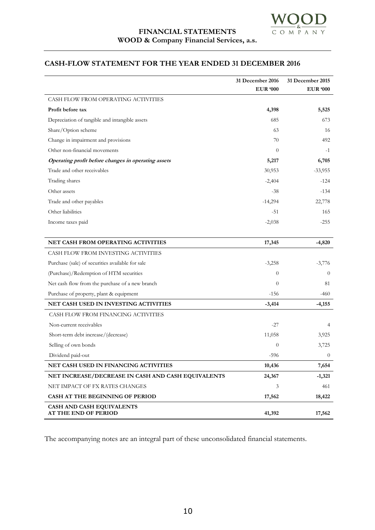# **FINANCIAL STATEMENTS WOOD & Company Financial Services, a.s.**

# **CASH-FLOW STATEMENT FOR THE YEAR ENDED 31 DECEMBER 2016**

|                                                          | 31 December 2016<br><b>EUR '000</b> | 31 December 2015<br><b>EUR '000</b> |
|----------------------------------------------------------|-------------------------------------|-------------------------------------|
| CASH FLOW FROM OPERATING ACTIVITIES                      |                                     |                                     |
| Profit before tax                                        | 4,398                               | 5,525                               |
| Depreciation of tangible and intangible assets           | 685                                 | 673                                 |
| Share/Option scheme                                      | 63                                  | 16                                  |
| Change in impairment and provisions                      | 70                                  | 492                                 |
| Other non-financial movements                            | $\Omega$                            | $-1$                                |
| Operating profit before changes in operating assets      | 5,217                               | 6,705                               |
| Trade and other receivables                              | 30,953                              | $-33,955$                           |
| Trading shares                                           | $-2,404$                            | $-124$                              |
| Other assets                                             | -38                                 | $-134$                              |
| Trade and other payables                                 | $-14,294$                           | 22,778                              |
| Other liabilities                                        | $-51$                               | 165                                 |
| Income taxes paid                                        | $-2,038$                            | $-255$                              |
|                                                          |                                     |                                     |
| NET CASH FROM OPERATING ACTIVITIES                       | 17,345                              | $-4,820$                            |
| CASH FLOW FROM INVESTING ACTIVITIES                      |                                     |                                     |
| Purchase (sale) of securities available for sale         | $-3,258$                            | $-3,776$                            |
| (Purchase)/Redemption of HTM securities                  | $\theta$                            | $\theta$                            |
| Net cash flow from the purchase of a new branch          | $\theta$                            | 81                                  |
| Purchase of property, plant & equipment                  | $-156$                              | $-460$                              |
| NET CASH USED IN INVESTING ACTIVITIES                    | $-3,414$                            | $-4,155$                            |
| CASH FLOW FROM FINANCING ACTIVITIES                      |                                     |                                     |
| Non-current receivables                                  | $-27$                               | 4                                   |
| Short-term debt increase/(decrease)                      | 11,058                              | 3,925                               |
| Selling of own bonds                                     | $\theta$                            | 3,725                               |
| Dividend paid-out                                        | $-596$                              | $\overline{0}$                      |
| NET CASH USED IN FINANCING ACTIVITIES                    | 10,436                              | 7,654                               |
| NET INCREASE/DECREASE IN CASH AND CASH EQUIVALENTS       | 24,367                              | $-1,321$                            |
| NET IMPACT OF FX RATES CHANGES                           | 3                                   | 461                                 |
| CASH AT THE BEGINNING OF PERIOD                          | 17,562                              | 18,422                              |
| CASH AND CASH EQUIVALENTS<br><b>AT THE END OF PERIOD</b> | 41,392                              | 17,562                              |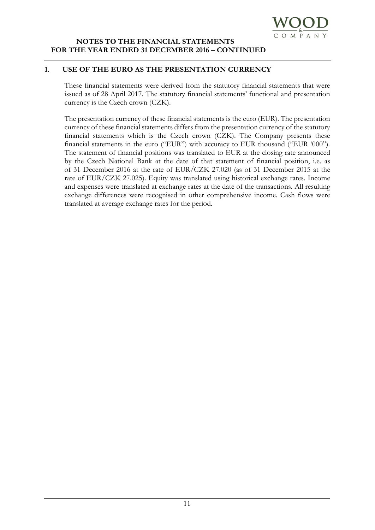# **1. USE OF THE EURO AS THE PRESENTATION CURRENCY**

These financial statements were derived from the statutory financial statements that were issued as of 28 April 2017. The statutory financial statements' functional and presentation currency is the Czech crown (CZK).

The presentation currency of these financial statements is the euro (EUR). The presentation currency of these financial statements differs from the presentation currency of the statutory financial statements which is the Czech crown (CZK). The Company presents these financial statements in the euro ("EUR") with accuracy to EUR thousand ("EUR '000"). The statement of financial positions was translated to EUR at the closing rate announced by the Czech National Bank at the date of that statement of financial position, i.e. as of 31 December 2016 at the rate of EUR/CZK 27.020 (as of 31 December 2015 at the rate of EUR/CZK 27.025). Equity was translated using historical exchange rates. Income and expenses were translated at exchange rates at the date of the transactions. All resulting exchange differences were recognised in other comprehensive income. Cash flows were translated at average exchange rates for the period.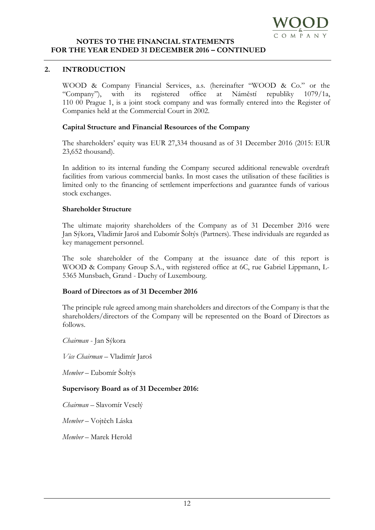

# **2. INTRODUCTION**

WOOD & Company Financial Services, a.s. (hereinafter "WOOD & Co." or the "Company"), with its registered office at Náměstí republiky 1079/1a, 110 00 Prague 1, is a joint stock company and was formally entered into the Register of Companies held at the Commercial Court in 2002.

# **Capital Structure and Financial Resources of the Company**

The shareholders' equity was EUR 27,334 thousand as of 31 December 2016 (2015: EUR 23,652 thousand).

In addition to its internal funding the Company secured additional renewable overdraft facilities from various commercial banks. In most cases the utilisation of these facilities is limited only to the financing of settlement imperfections and guarantee funds of various stock exchanges.

#### **Shareholder Structure**

The ultimate majority shareholders of the Company as of 31 December 2016 were Jan Sýkora, Vladimír Jaroš and Ľubomír Šoltýs (Partners). These individuals are regarded as key management personnel.

The sole shareholder of the Company at the issuance date of this report is WOOD & Company Group S.A., with registered office at 6C, rue Gabriel Lippmann, L-5365 Munsbach, Grand - Duchy of Luxembourg.

# **Board of Directors as of 31 December 2016**

The principle rule agreed among main shareholders and directors of the Company is that the shareholders/directors of the Company will be represented on the Board of Directors as follows.

*Chairman* - Jan Sýkora

*Vice Chairman* – Vladimír Jaroš

*Member* – Ľubomír Šoltýs

# **Supervisory Board as of 31 December 2016:**

*Chairman* – Slavomír Veselý

*Member* – Vojtěch Láska

*Member* – Marek Herold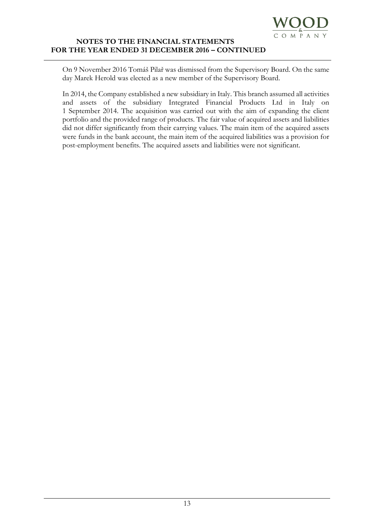

On 9 November 2016 Tomáš Pilař was dismissed from the Supervisory Board. On the same day Marek Herold was elected as a new member of the Supervisory Board.

In 2014, the Company established a new subsidiary in Italy. This branch assumed all activities and assets of the subsidiary Integrated Financial Products Ltd in Italy on 1 September 2014. The acquisition was carried out with the aim of expanding the client portfolio and the provided range of products. The fair value of acquired assets and liabilities did not differ significantly from their carrying values. The main item of the acquired assets were funds in the bank account, the main item of the acquired liabilities was a provision for post-employment benefits. The acquired assets and liabilities were not significant.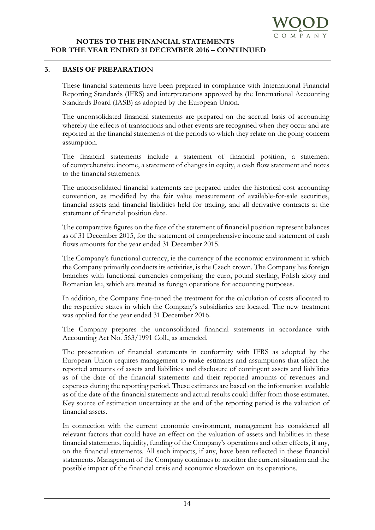

# **3. BASIS OF PREPARATION**

These financial statements have been prepared in compliance with International Financial Reporting Standards (IFRS) and interpretations approved by the International Accounting Standards Board (IASB) as adopted by the European Union.

The unconsolidated financial statements are prepared on the accrual basis of accounting whereby the effects of transactions and other events are recognised when they occur and are reported in the financial statements of the periods to which they relate on the going concern assumption.

The financial statements include a statement of financial position, a statement of comprehensive income, a statement of changes in equity, a cash flow statement and notes to the financial statements.

The unconsolidated financial statements are prepared under the historical cost accounting convention, as modified by the fair value measurement of available-for-sale securities, financial assets and financial liabilities held for trading, and all derivative contracts at the statement of financial position date.

The comparative figures on the face of the statement of financial position represent balances as of 31 December 2015, for the statement of comprehensive income and statement of cash flows amounts for the year ended 31 December 2015.

The Company's functional currency, ie the currency of the economic environment in which the Company primarily conducts its activities, is the Czech crown. The Company has foreign branches with functional currencies comprising the euro, pound sterling, Polish zloty and Romanian leu, which are treated as foreign operations for accounting purposes.

In addition, the Company fine-tuned the treatment for the calculation of costs allocated to the respective states in which the Company's subsidiaries are located. The new treatment was applied for the year ended 31 December 2016.

The Company prepares the unconsolidated financial statements in accordance with Accounting Act No. 563/1991 Coll., as amended.

The presentation of financial statements in conformity with IFRS as adopted by the European Union requires management to make estimates and assumptions that affect the reported amounts of assets and liabilities and disclosure of contingent assets and liabilities as of the date of the financial statements and their reported amounts of revenues and expenses during the reporting period. These estimates are based on the information available as of the date of the financial statements and actual results could differ from those estimates. Key source of estimation uncertainty at the end of the reporting period is the valuation of financial assets.

In connection with the current economic environment, management has considered all relevant factors that could have an effect on the valuation of assets and liabilities in these financial statements, liquidity, funding of the Company's operations and other effects, if any, on the financial statements. All such impacts, if any, have been reflected in these financial statements. Management of the Company continues to monitor the current situation and the possible impact of the financial crisis and economic slowdown on its operations.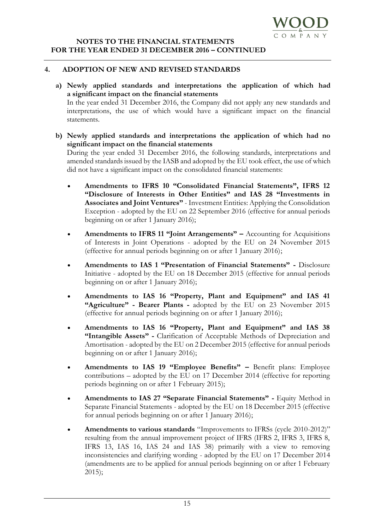# **4. ADOPTION OF NEW AND REVISED STANDARDS**

- **a) Newly applied standards and interpretations the application of which had a significant impact on the financial statements** In the year ended 31 December 2016, the Company did not apply any new standards and interpretations, the use of which would have a significant impact on the financial statements.
- **b) Newly applied standards and interpretations the application of which had no significant impact on the financial statements**

During the year ended 31 December 2016, the following standards, interpretations and amended standards issued by the IASB and adopted by the EU took effect, the use of which did not have a significant impact on the consolidated financial statements:

- **Amendments to IFRS 10 "Consolidated Financial Statements", IFRS 12 "Disclosure of Interests in Other Entities" and IAS 28 "Investments in Associates and Joint Ventures"** - Investment Entities: Applying the Consolidation Exception - adopted by the EU on 22 September 2016 (effective for annual periods beginning on or after 1 January 2016);
- **Amendments to IFRS 11 "Joint Arrangements" –** Accounting for Acquisitions of Interests in Joint Operations - adopted by the EU on 24 November 2015 (effective for annual periods beginning on or after 1 January 2016);
- **Amendments to IAS 1 "Presentation of Financial Statements" -** Disclosure Initiative - adopted by the EU on 18 December 2015 (effective for annual periods beginning on or after 1 January 2016);
- **Amendments to IAS 16 "Property, Plant and Equipment" and IAS 41 "Agriculture" - Bearer Plants -** adopted by the EU on 23 November 2015 (effective for annual periods beginning on or after 1 January 2016);
- **Amendments to IAS 16 "Property, Plant and Equipment" and IAS 38 "Intangible Assets" -** Clarification of Acceptable Methods of Depreciation and Amortisation - adopted by the EU on 2 December 2015 (effective for annual periods beginning on or after 1 January 2016);
- **Amendments to IAS 19 "Employee Benefits" –** Benefit plans: Employee contributions – adopted by the EU on 17 December 2014 (effective for reporting periods beginning on or after 1 February 2015);
- **Amendments to IAS 27 "Separate Financial Statements" -** Equity Method in Separate Financial Statements - adopted by the EU on 18 December 2015 (effective for annual periods beginning on or after 1 January 2016);
- **Amendments to various standards** "Improvements to IFRSs (cycle 2010-2012)" resulting from the annual improvement project of IFRS (IFRS 2, IFRS 3, IFRS 8, IFRS 13, IAS 16, IAS 24 and IAS 38) primarily with a view to removing inconsistencies and clarifying wording - adopted by the EU on 17 December 2014 (amendments are to be applied for annual periods beginning on or after 1 February  $2015$ ;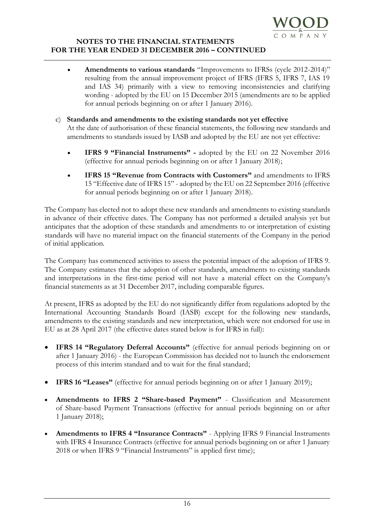- **Amendments to various standards** "Improvements to IFRSs (cycle 2012-2014)" resulting from the annual improvement project of IFRS (IFRS 5, IFRS 7, IAS 19 and IAS 34) primarily with a view to removing inconsistencies and clarifying wording - adopted by the EU on 15 December 2015 (amendments are to be applied for annual periods beginning on or after 1 January 2016).
- c) **Standards and amendments to the existing standards not yet effective** At the date of authorisation of these financial statements, the following new standards and amendments to standards issued by IASB and adopted by the EU are not yet effective:
	- **IFRS 9 "Financial Instruments" -** adopted by the EU on 22 November 2016 (effective for annual periods beginning on or after 1 January 2018);
	- **IFRS 15 "Revenue from Contracts with Customers"** and amendments to IFRS 15 "Effective date of IFRS 15" - adopted by the EU on 22 September 2016 (effective for annual periods beginning on or after 1 January 2018).

The Company has elected not to adopt these new standards and amendments to existing standards in advance of their effective dates. The Company has not performed a detailed analysis yet but anticipates that the adoption of these standards and amendments to or interpretation of existing standards will have no material impact on the financial statements of the Company in the period of initial application.

The Company has commenced activities to assess the potential impact of the adoption of IFRS 9. The Company estimates that the adoption of other standards, amendments to existing standards and interpretations in the first-time period will not have a material effect on the Company's financial statements as at 31 December 2017, including comparable figures.

At present, IFRS as adopted by the EU do not significantly differ from regulations adopted by the International Accounting Standards Board (IASB) except for the following new standards, amendments to the existing standards and new interpretation, which were not endorsed for use in EU as at 28 April 2017 (the effective dates stated below is for IFRS in full):

- **IFRS 14 "Regulatory Deferral Accounts"** (effective for annual periods beginning on or after 1 January 2016) - the European Commission has decided not to launch the endorsement process of this interim standard and to wait for the final standard;
- **IFRS 16 "Leases"** (effective for annual periods beginning on or after 1 January 2019);
- **Amendments to IFRS 2 "Share-based Payment"** Classification and Measurement of Share-based Payment Transactions (effective for annual periods beginning on or after 1 January 2018);
- **Amendments to IFRS 4 "Insurance Contracts"**  Applying IFRS 9 Financial Instruments with IFRS 4 Insurance Contracts (effective for annual periods beginning on or after 1 January 2018 or when IFRS 9 "Financial Instruments" is applied first time);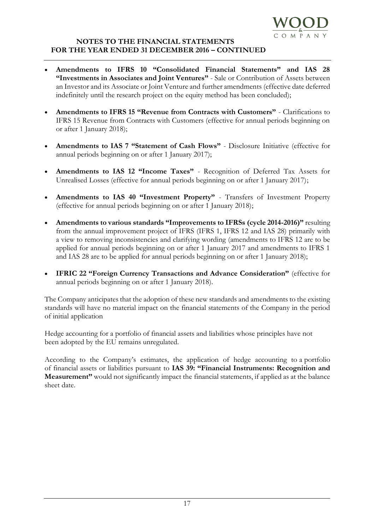

- **Amendments to IFRS 10 "Consolidated Financial Statements" and IAS 28 "Investments in Associates and Joint Ventures"** - Sale or Contribution of Assets between an Investor and its Associate or Joint Venture and further amendments (effective date deferred indefinitely until the research project on the equity method has been concluded);
- **Amendments to IFRS 15 "Revenue from Contracts with Customers"** Clarifications to IFRS 15 Revenue from Contracts with Customers (effective for annual periods beginning on or after 1 January 2018);
- **Amendments to IAS 7 "Statement of Cash Flows"** Disclosure Initiative (effective for annual periods beginning on or after 1 January 2017);
- **Amendments to IAS 12 "Income Taxes"** Recognition of Deferred Tax Assets for Unrealised Losses (effective for annual periods beginning on or after 1 January 2017);
- **Amendments to IAS 40 "Investment Property"** Transfers of Investment Property (effective for annual periods beginning on or after 1 January 2018);
- **Amendments to various standards "Improvements to IFRSs (cycle 2014-2016)"** resulting from the annual improvement project of IFRS (IFRS 1, IFRS 12 and IAS 28) primarily with a view to removing inconsistencies and clarifying wording (amendments to IFRS 12 are to be applied for annual periods beginning on or after 1 January 2017 and amendments to IFRS 1 and IAS 28 are to be applied for annual periods beginning on or after 1 January 2018);
- **IFRIC 22 "Foreign Currency Transactions and Advance Consideration"** (effective for annual periods beginning on or after 1 January 2018).

The Company anticipates that the adoption of these new standards and amendments to the existing standards will have no material impact on the financial statements of the Company in the period of initial application

Hedge accounting for a portfolio of financial assets and liabilities whose principles have not been adopted by the EU remains unregulated.

According to the Company's estimates, the application of hedge accounting to a portfolio of financial assets or liabilities pursuant to **IAS 39: "Financial Instruments: Recognition and Measurement"** would not significantly impact the financial statements, if applied as at the balance sheet date.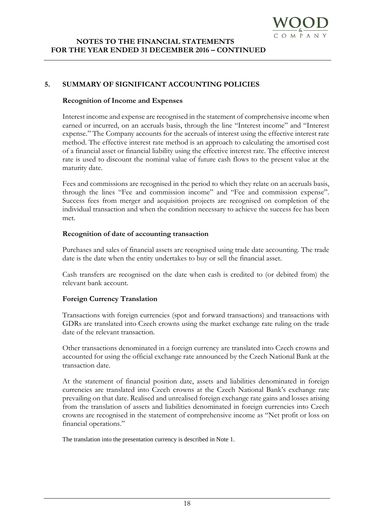

# **5. SUMMARY OF SIGNIFICANT ACCOUNTING POLICIES**

#### **Recognition of Income and Expenses**

Interest income and expense are recognised in the statement of comprehensive income when earned or incurred, on an accruals basis, through the line "Interest income" and "Interest expense." The Company accounts for the accruals of interest using the effective interest rate method. The effective interest rate method is an approach to calculating the amortised cost of a financial asset or financial liability using the effective interest rate. The effective interest rate is used to discount the nominal value of future cash flows to the present value at the maturity date.

Fees and commissions are recognised in the period to which they relate on an accruals basis, through the lines "Fee and commission income" and "Fee and commission expense". Success fees from merger and acquisition projects are recognised on completion of the individual transaction and when the condition necessary to achieve the success fee has been met.

# **Recognition of date of accounting transaction**

Purchases and sales of financial assets are recognised using trade date accounting. The trade date is the date when the entity undertakes to buy or sell the financial asset.

Cash transfers are recognised on the date when cash is credited to (or debited from) the relevant bank account.

# **Foreign Currency Translation**

Transactions with foreign currencies (spot and forward transactions) and transactions with GDRs are translated into Czech crowns using the market exchange rate ruling on the trade date of the relevant transaction.

Other transactions denominated in a foreign currency are translated into Czech crowns and accounted for using the official exchange rate announced by the Czech National Bank at the transaction date.

At the statement of financial position date, assets and liabilities denominated in foreign currencies are translated into Czech crowns at the Czech National Bank's exchange rate prevailing on that date. Realised and unrealised foreign exchange rate gains and losses arising from the translation of assets and liabilities denominated in foreign currencies into Czech crowns are recognised in the statement of comprehensive income as "Net profit or loss on financial operations."

The translation into the presentation currency is described in Note 1.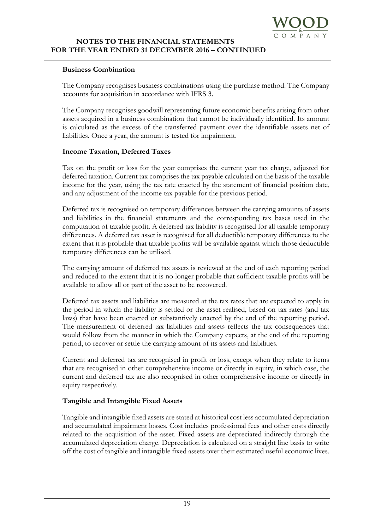#### **Business Combination**

The Company recognises business combinations using the purchase method. The Company accounts for acquisition in accordance with IFRS 3.

The Company recognises goodwill representing future economic benefits arising from other assets acquired in a business combination that cannot be individually identified. Its amount is calculated as the excess of the transferred payment over the identifiable assets net of liabilities. Once a year, the amount is tested for impairment.

# **Income Taxation, Deferred Taxes**

Tax on the profit or loss for the year comprises the current year tax charge, adjusted for deferred taxation. Current tax comprises the tax payable calculated on the basis of the taxable income for the year, using the tax rate enacted by the statement of financial position date, and any adjustment of the income tax payable for the previous period.

Deferred tax is recognised on temporary differences between the carrying amounts of assets and liabilities in the financial statements and the corresponding tax bases used in the computation of taxable profit. A deferred tax liability is recognised for all taxable temporary differences. A deferred tax asset is recognised for all deductible temporary differences to the extent that it is probable that taxable profits will be available against which those deductible temporary differences can be utilised.

The carrying amount of deferred tax assets is reviewed at the end of each reporting period and reduced to the extent that it is no longer probable that sufficient taxable profits will be available to allow all or part of the asset to be recovered.

Deferred tax assets and liabilities are measured at the tax rates that are expected to apply in the period in which the liability is settled or the asset realised, based on tax rates (and tax laws) that have been enacted or substantively enacted by the end of the reporting period. The measurement of deferred tax liabilities and assets reflects the tax consequences that would follow from the manner in which the Company expects, at the end of the reporting period, to recover or settle the carrying amount of its assets and liabilities.

Current and deferred tax are recognised in profit or loss, except when they relate to items that are recognised in other comprehensive income or directly in equity, in which case, the current and deferred tax are also recognised in other comprehensive income or directly in equity respectively.

# **Tangible and Intangible Fixed Assets**

Tangible and intangible fixed assets are stated at historical cost less accumulated depreciation and accumulated impairment losses. Cost includes professional fees and other costs directly related to the acquisition of the asset. Fixed assets are depreciated indirectly through the accumulated depreciation charge. Depreciation is calculated on a straight line basis to write off the cost of tangible and intangible fixed assets over their estimated useful economic lives.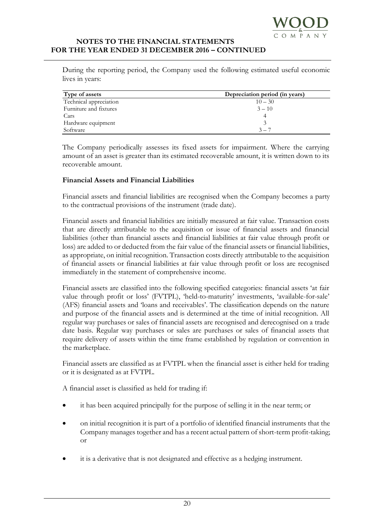During the reporting period, the Company used the following estimated useful economic lives in years:

| Type of assets         | Depreciation period (in years) |
|------------------------|--------------------------------|
| Technical appreciation | $10 - 30$                      |
| Furniture and fixtures | $3 - 10$                       |
| Cars                   |                                |
| Hardware equipment     |                                |
| Software               | $3 - 7$                        |

The Company periodically assesses its fixed assets for impairment. Where the carrying amount of an asset is greater than its estimated recoverable amount, it is written down to its recoverable amount.

# **Financial Assets and Financial Liabilities**

Financial assets and financial liabilities are recognised when the Company becomes a party to the contractual provisions of the instrument (trade date).

Financial assets and financial liabilities are initially measured at fair value. Transaction costs that are directly attributable to the acquisition or issue of financial assets and financial liabilities (other than financial assets and financial liabilities at fair value through profit or loss) are added to or deducted from the fair value of the financial assets or financial liabilities, as appropriate, on initial recognition. Transaction costs directly attributable to the acquisition of financial assets or financial liabilities at fair value through profit or loss are recognised immediately in the statement of comprehensive income.

Financial assets are classified into the following specified categories: financial assets 'at fair value through profit or loss' (FVTPL), 'held-to-maturity' investments, 'available-for-sale' (AFS) financial assets and 'loans and receivables'. The classification depends on the nature and purpose of the financial assets and is determined at the time of initial recognition. All regular way purchases or sales of financial assets are recognised and derecognised on a trade date basis. Regular way purchases or sales are purchases or sales of financial assets that require delivery of assets within the time frame established by regulation or convention in the marketplace.

Financial assets are classified as at FVTPL when the financial asset is either held for trading or it is designated as at FVTPL.

A financial asset is classified as held for trading if:

- it has been acquired principally for the purpose of selling it in the near term; or
- on initial recognition it is part of a portfolio of identified financial instruments that the Company manages together and has a recent actual pattern of short-term profit-taking; or
- it is a derivative that is not designated and effective as a hedging instrument.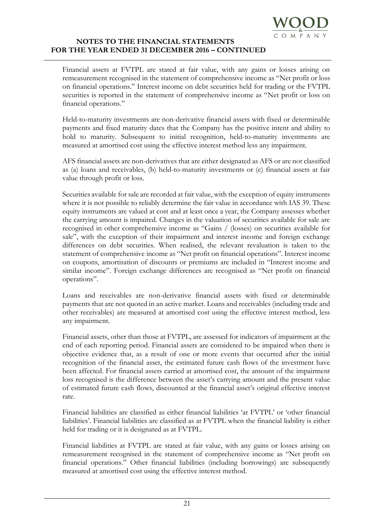

Financial assets at FVTPL are stated at fair value, with any gains or losses arising on remeasurement recognised in the statement of comprehensive income as "Net profit or loss on financial operations." Interest income on debt securities held for trading or the FVTPL securities is reported in the statement of comprehensive income as "Net profit or loss on financial operations."

Held-to-maturity investments are non-derivative financial assets with fixed or determinable payments and fixed maturity dates that the Company has the positive intent and ability to hold to maturity. Subsequent to initial recognition, held-to-maturity investments are measured at amortised cost using the effective interest method less any impairment.

AFS financial assets are non-derivatives that are either designated as AFS or are not classified as (a) loans and receivables, (b) held-to-maturity investments or (c) financial assets at fair value through profit or loss.

Securities available for sale are recorded at fair value, with the exception of equity instruments where it is not possible to reliably determine the fair value in accordance with IAS 39. These equity instruments are valued at cost and at least once a year, the Company assesses whether the carrying amount is impaired. Changes in the valuation of securities available for sale are recognised in other comprehensive income as "Gains / (losses) on securities available for sale", with the exception of their impairment and interest income and foreign exchange differences on debt securities. When realised, the relevant revaluation is taken to the statement of comprehensive income as "Net profit on financial operations". Interest income on coupons, amortisation of discounts or premiums are included in "Interest income and similar income". Foreign exchange differences are recognised as "Net profit on financial operations".

Loans and receivables are non-derivative financial assets with fixed or determinable payments that are not quoted in an active market. Loans and receivables (including trade and other receivables) are measured at amortised cost using the effective interest method, less any impairment.

Financial assets, other than those at FVTPL, are assessed for indicators of impairment at the end of each reporting period. Financial assets are considered to be impaired when there is objective evidence that, as a result of one or more events that occurred after the initial recognition of the financial asset, the estimated future cash flows of the investment have been affected. For financial assets carried at amortised cost, the amount of the impairment loss recognised is the difference between the asset's carrying amount and the present value of estimated future cash flows, discounted at the financial asset's original effective interest rate.

Financial liabilities are classified as either financial liabilities 'at FVTPL' or 'other financial liabilities'. Financial liabilities are classified as at FVTPL when the financial liability is either held for trading or it is designated as at FVTPL.

Financial liabilities at FVTPL are stated at fair value, with any gains or losses arising on remeasurement recognised in the statement of comprehensive income as "Net profit on financial operations." Other financial liabilities (including borrowings) are subsequently measured at amortised cost using the effective interest method.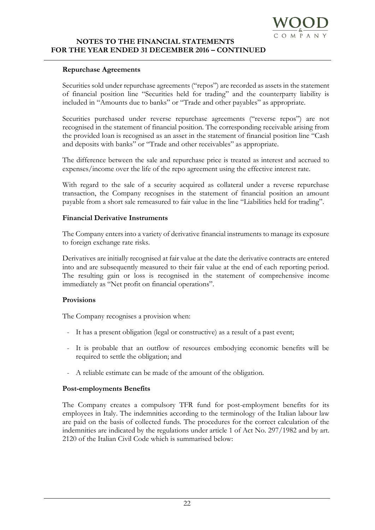

#### **Repurchase Agreements**

Securities sold under repurchase agreements ("repos") are recorded as assets in the statement of financial position line "Securities held for trading" and the counterparty liability is included in "Amounts due to banks" or "Trade and other payables" as appropriate.

Securities purchased under reverse repurchase agreements ("reverse repos") are not recognised in the statement of financial position. The corresponding receivable arising from the provided loan is recognised as an asset in the statement of financial position line "Cash and deposits with banks" or "Trade and other receivables" as appropriate.

The difference between the sale and repurchase price is treated as interest and accrued to expenses/income over the life of the repo agreement using the effective interest rate.

With regard to the sale of a security acquired as collateral under a reverse repurchase transaction, the Company recognises in the statement of financial position an amount payable from a short sale remeasured to fair value in the line "Liabilities held for trading".

# **Financial Derivative Instruments**

The Company enters into a variety of derivative financial instruments to manage its exposure to foreign exchange rate risks.

Derivatives are initially recognised at fair value at the date the derivative contracts are entered into and are subsequently measured to their fair value at the end of each reporting period. The resulting gain or loss is recognised in the statement of comprehensive income immediately as "Net profit on financial operations".

# **Provisions**

The Company recognises a provision when:

- It has a present obligation (legal or constructive) as a result of a past event;
- It is probable that an outflow of resources embodying economic benefits will be required to settle the obligation; and
- A reliable estimate can be made of the amount of the obligation.

# **Post-employments Benefits**

The Company creates a compulsory TFR fund for post-employment benefits for its employees in Italy. The indemnities according to the terminology of the Italian labour law are paid on the basis of collected funds. The procedures for the correct calculation of the indemnities are indicated by the regulations under article 1 of Act No. 297/1982 and by art. 2120 of the Italian Civil Code which is summarised below: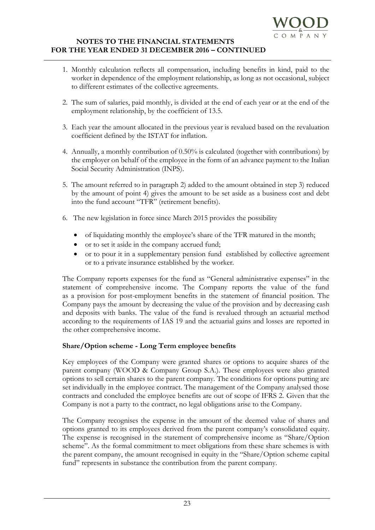

- 1. Monthly calculation reflects all compensation, including benefits in kind, paid to the worker in dependence of the employment relationship, as long as not occasional, subject to different estimates of the collective agreements.
- 2. The sum of salaries, paid monthly, is divided at the end of each year or at the end of the employment relationship, by the coefficient of 13.5.
- 3. Each year the amount allocated in the previous year is revalued based on the revaluation coefficient defined by the ISTAT for inflation.
- 4. Annually, a monthly contribution of 0.50% is calculated (together with contributions) by the employer on behalf of the employee in the form of an advance payment to the Italian Social Security Administration (INPS).
- 5. The amount referred to in paragraph 2) added to the amount obtained in step 3) reduced by the amount of point 4) gives the amount to be set aside as a business cost and debt into the fund account "TFR" (retirement benefits).
- 6. The new legislation in force since March 2015 provides the possibility
	- of liquidating monthly the employee's share of the TFR matured in the month;
	- or to set it aside in the company accrued fund;
	- or to pour it in a supplementary pension fund established by collective agreement or to a private insurance established by the worker.

The Company reports expenses for the fund as "General administrative expenses" in the statement of comprehensive income. The Company reports the value of the fund as a provision for post-employment benefits in the statement of financial position. The Company pays the amount by decreasing the value of the provision and by decreasing cash and deposits with banks. The value of the fund is revalued through an actuarial method according to the requirements of IAS 19 and the actuarial gains and losses are reported in the other comprehensive income.

# **Share/Option scheme - Long Term employee benefits**

Key employees of the Company were granted shares or options to acquire shares of the parent company (WOOD & Company Group S.A.). These employees were also granted options to sell certain shares to the parent company. The conditions for options putting are set individually in the employee contract. The management of the Company analysed those contracts and concluded the employee benefits are out of scope of IFRS 2. Given that the Company is not a party to the contract, no legal obligations arise to the Company.

The Company recognises the expense in the amount of the deemed value of shares and options granted to its employees derived from the parent company's consolidated equity. The expense is recognised in the statement of comprehensive income as "Share/Option scheme". As the formal commitment to meet obligations from these share schemes is with the parent company, the amount recognised in equity in the "Share/Option scheme capital fund" represents in substance the contribution from the parent company.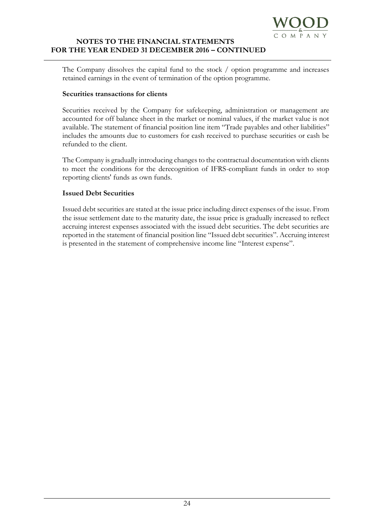

The Company dissolves the capital fund to the stock / option programme and increases retained earnings in the event of termination of the option programme.

# **Securities transactions for clients**

Securities received by the Company for safekeeping, administration or management are accounted for off balance sheet in the market or nominal values, if the market value is not available. The statement of financial position line item "Trade payables and other liabilities" includes the amounts due to customers for cash received to purchase securities or cash be refunded to the client.

The Company is gradually introducing changes to the contractual documentation with clients to meet the conditions for the derecognition of IFRS-compliant funds in order to stop reporting clients' funds as own funds.

# **Issued Debt Securities**

<span id="page-23-0"></span>Issued debt securities are stated at the issue price including direct expenses of the issue. From the issue settlement date to the maturity date, the issue price is gradually increased to reflect accruing interest expenses associated with the issued debt securities. The debt securities are reported in the statement of financial position line "Issued debt securities". Accruing interest is presented in the statement of comprehensive income line "Interest expense".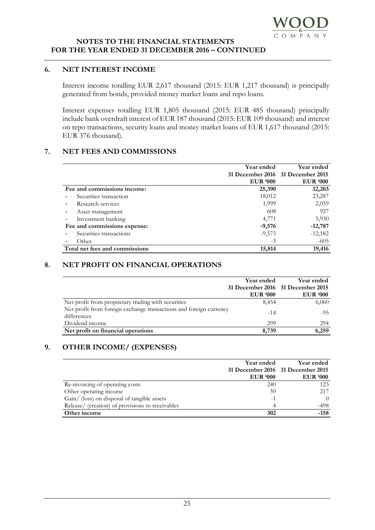# **6. NET INTEREST INCOME**

Interest income totalling EUR 2,617 thousand (2015: EUR 1,217 thousand) is principally generated from bonds, provided money market loans and repo loans.

Interest expenses totalling EUR 1,805 thousand (2015: EUR 485 thousand) principally include bank overdraft interest of EUR 187 thousand (2015: EUR 109 thousand) and interest on repo transactions, security loans and money market loans of EUR 1,617 thousand (2015: EUR 376 thousand).

# <span id="page-24-0"></span>**7. NET FEES AND COMMISSIONS**

|                                | Year ended      | Year ended                        |
|--------------------------------|-----------------|-----------------------------------|
|                                |                 | 31 December 2016 31 December 2015 |
|                                | <b>EUR</b> '000 | <b>EUR '000</b>                   |
| Fee and commissions income:    | 25,390          | 32,203                            |
| Securities transaction         | 18,012          | 23,287                            |
| Research services              | 1,999           | 2,059                             |
| Asset management               | 608             | 927                               |
| Investment banking             | 4,771           | 5,930                             |
| Fee and commissions expense:   | $-9,576$        | $-12,787$                         |
| Securities transactions        | $-9,573$        | $-12,182$                         |
| Other                          | $-3$            | $-605$                            |
| Total net fees and commissions | 15,814          | 19,416                            |

# **8. NET PROFIT ON FINANCIAL OPERATIONS**

|                                                                                   | <b>Year ended</b> | Year ended<br>31 December 2016 31 December 2015 |
|-----------------------------------------------------------------------------------|-------------------|-------------------------------------------------|
|                                                                                   | <b>EUR</b> '000   | <b>EUR '000</b>                                 |
| Net profit from proprietary trading with securities                               | 8,454             | 6,060                                           |
| Net profit from foreign exchange transactions and foreign currency<br>differences | $-14$             | $-95$                                           |
| Dividend income                                                                   | 299               | 294                                             |
| Net profit on financial operations                                                | 8,739             | 6,259                                           |

# **9. OTHER INCOME/ (EXPENSES)**

|                                                  | <b>Year ended</b> | Year ended                        |
|--------------------------------------------------|-------------------|-----------------------------------|
|                                                  |                   | 31 December 2016 31 December 2015 |
|                                                  | <b>EUR</b> '000   | <b>EUR</b> '000                   |
| Re-invoicing of operating costs                  | 240               | 123                               |
| Other operating income                           | 59                | 217                               |
| Gain/ (loss) on disposal of tangible assets      | $-1$              |                                   |
| Release/ (creation) of provisions to receivables |                   | -498                              |
| Other income                                     | 302               | $-158$                            |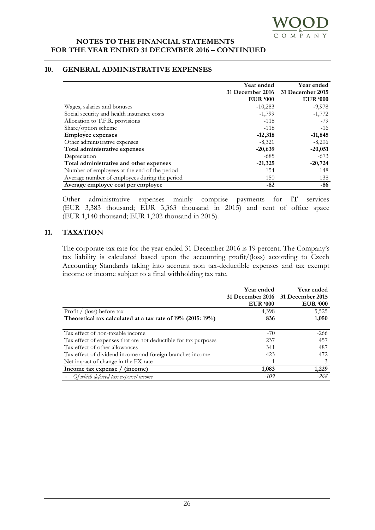# **10. GENERAL ADMINISTRATIVE EXPENSES**

|                                               | Year ended      | Year ended                        |
|-----------------------------------------------|-----------------|-----------------------------------|
|                                               |                 | 31 December 2016 31 December 2015 |
|                                               | <b>EUR '000</b> | <b>EUR '000</b>                   |
| Wages, salaries and bonuses                   | $-10,283$       | $-9,978$                          |
| Social security and health insurance costs    | $-1,799$        | $-1,772$                          |
| Allocation to T.F.R. provisions               | $-118$          | -79                               |
| Share/option scheme                           | $-118$          | $-16$                             |
| <b>Employee expenses</b>                      | $-12,318$       | $-11,845$                         |
| Other administrative expenses                 | $-8,321$        | $-8,206$                          |
| Total administrative expenses                 | $-20,639$       | $-20,051$                         |
| Depreciation                                  | $-685$          | $-673$                            |
| Total administrative and other expenses       | $-21,325$       | $-20,724$                         |
| Number of employees at the end of the period  | 154             | 148                               |
| Average number of employees during the period | 150             | 138                               |
| Average employee cost per employee            | -82             | -86                               |

Other administrative expenses mainly comprise payments for IT services (EUR 3,383 thousand; EUR 3,363 thousand in 2015) and rent of office space (EUR 1,140 thousand; EUR 1,202 thousand in 2015).

# **11. TAXATION**

The corporate tax rate for the year ended 31 December 2016 is 19 percent. The Company's tax liability is calculated based upon the accounting profit/(loss) according to Czech Accounting Standards taking into account non tax-deductible expenses and tax exempt income or income subject to a final withholding tax rate.

|                                                                 | Year ended                        | Year ended      |
|-----------------------------------------------------------------|-----------------------------------|-----------------|
|                                                                 | 31 December 2016 31 December 2015 |                 |
|                                                                 | <b>EUR '000</b>                   | <b>EUR</b> '000 |
| Profit / (loss) before tax                                      | 4.398                             | 5,525           |
| Theoretical tax calculated at a tax rate of 19% (2015: 19%)     | 836                               | 1,050           |
|                                                                 |                                   |                 |
| Tax effect of non-taxable income                                | $-70$                             | $-266$          |
| Tax effect of expenses that are not deductible for tax purposes | 237                               | 457             |
| Tax effect of other allowances                                  | $-341$                            | $-487$          |
| Tax effect of dividend income and foreign branches income       | 423                               | 472             |
| Net impact of change in the FX rate                             | $-1$                              | 3               |
| Income tax expense / (income)                                   | 1,083                             | 1,229           |
| Of which deferred tax expense/income                            | -109                              | $-268$          |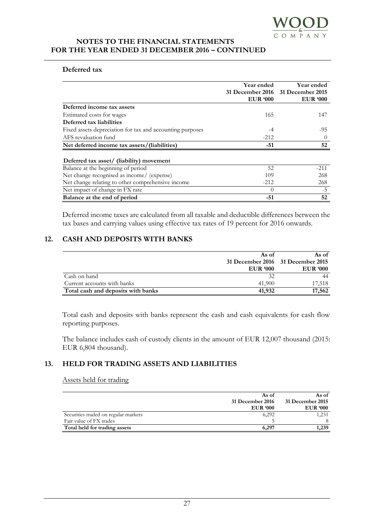#### **Deferred tax**

|                                                           | Year ended                        | Year ended      |
|-----------------------------------------------------------|-----------------------------------|-----------------|
|                                                           | 31 December 2016 31 December 2015 |                 |
|                                                           | <b>EUR '000</b>                   | <b>EUR '000</b> |
| Deferred income tax assets                                |                                   |                 |
| Estimated costs for wages                                 | 165                               | 147             |
| Deferred tax liabilities                                  |                                   |                 |
| Fixed assets depreciation for tax and accounting purposes | -4                                | $-95$           |
| AFS revaluation fund                                      | $-212$                            |                 |
| Net deferred income tax assets/(liabilities)              | $-51$                             | 52              |
| Deferred tax asset/ (liability) movement                  |                                   |                 |
| Balance at the beginning of period                        | 52                                | $-211$          |
| Net change recognised as income/ (expense)                | 109                               | 268             |
| Net change relating to other comprehensive income         | $-212$                            | 268             |
| Net impact of change in FX rate                           | $\theta$                          | $-5$            |
| Balance at the end of period                              | -51                               | 52              |

Deferred income taxes are calculated from all taxable and deductible differences between the tax bases and carrying values using effective tax rates of 19 percent for 2016 onwards.

# **12. CASH AND DEPOSITS WITH BANKS**

|                                    | As of                             | As of           |
|------------------------------------|-----------------------------------|-----------------|
|                                    | 31 December 2016 31 December 2015 |                 |
|                                    | <b>EUR '000</b>                   | <b>EUR</b> '000 |
| Cash on hand                       | 32                                | 44              |
| Current accounts with banks        | 41,900                            | 17,518          |
| Total cash and deposits with banks | 41,932                            | 17,562          |

Total cash and deposits with banks represent the cash and cash equivalents for cash flow reporting purposes.

The balance includes cash of custody clients in the amount of EUR 12,007 thousand (2015: EUR 6,804 thousand).

# **13. HELD FOR TRADING ASSETS AND LIABILITIES**

#### Assets held for trading

|                                      | As of            | As of            |
|--------------------------------------|------------------|------------------|
|                                      | 31 December 2016 | 31 December 2015 |
|                                      | <b>EUR</b> '000  | <b>EUR '000</b>  |
| Securities traded on regular markets | 6.292            | 1.231            |
| Fair value of FX trades              |                  |                  |
| Total held for trading assets        | 6,297            | 1,239            |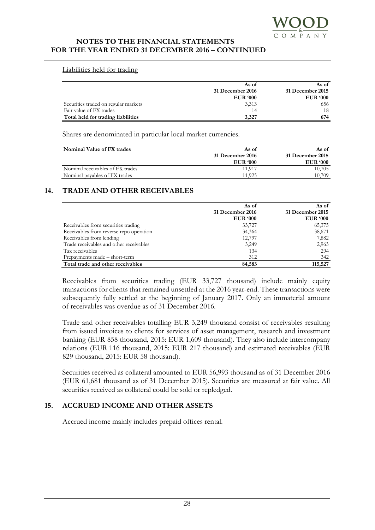#### Liabilities held for trading

|                                      | As of<br>31 December 2016<br><b>EUR '000</b> | As of<br>31 December 2015<br><b>EUR '000</b> |
|--------------------------------------|----------------------------------------------|----------------------------------------------|
| Securities traded on regular markets | 3,313                                        | 656                                          |
| Fair value of FX trades              | 14                                           | 18                                           |
| Total held for trading liabilities   | 3,327                                        | 674                                          |

Shares are denominated in particular local market currencies.

| Nominal Value of FX trades       | As of<br>31 December 2016 | As of<br>31 December 2015 |
|----------------------------------|---------------------------|---------------------------|
|                                  | <b>EUR</b> '000           | <b>EUR</b> '000           |
| Nominal receivables of FX trades | 11.917                    | 10,705                    |
| Nominal payables of FX trades    | 11.925                    | 10,709                    |

# **14. TRADE AND OTHER RECEIVABLES**

|                                         | As of<br>31 December 2016<br><b>EUR</b> '000 | As of<br>31 December 2015<br><b>EUR</b> '000 |
|-----------------------------------------|----------------------------------------------|----------------------------------------------|
| Receivables from securities trading     | 33,727                                       | 65,375                                       |
| Receivables from reverse repo operation | 34,364                                       | 38,671                                       |
| Receivables from lending                | 12,797                                       | 7,882                                        |
| Trade receivables and other receivables | 3,249                                        | 2,963                                        |
| Tax receivables                         | 134                                          | 294                                          |
| Prepayments made – short-term           | 312                                          | 342                                          |
| Total trade and other receivables       | 84,583                                       | 115,527                                      |

Receivables from securities trading (EUR 33,727 thousand) include mainly equity transactions for clients that remained unsettled at the 2016 year-end. These transactions were subsequently fully settled at the beginning of January 2017. Only an immaterial amount of receivables was overdue as of 31 December 2016.

Trade and other receivables totalling EUR 3,249 thousand consist of receivables resulting from issued invoices to clients for services of asset management, research and investment banking (EUR 858 thousand, 2015: EUR 1,609 thousand). They also include intercompany relations (EUR 116 thousand, 2015: EUR 217 thousand) and estimated receivables (EUR 829 thousand, 2015: EUR 58 thousand).

Securities received as collateral amounted to EUR 56,993 thousand as of 31 December 2016 (EUR 61,681 thousand as of 31 December 2015). Securities are measured at fair value. All securities received as collateral could be sold or repledged.

# **15. ACCRUED INCOME AND OTHER ASSETS**

Accrued income mainly includes prepaid offices rental.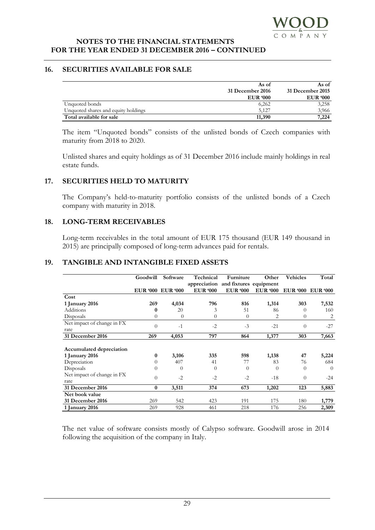

#### **16. SECURITIES AVAILABLE FOR SALE**

|                                     | As of            | As of            |
|-------------------------------------|------------------|------------------|
|                                     | 31 December 2016 | 31 December 2015 |
|                                     | <b>EUR</b> '000  | <b>EUR</b> '000  |
| Unquoted bonds                      | 6,262            | 3,258            |
| Unquoted shares and equity holdings | 5.127            | 3,966            |
| Total available for sale            | 11,390           | 7,224            |

The item "Unquoted bonds" consists of the unlisted bonds of Czech companies with maturity from 2018 to 2020.

Unlisted shares and equity holdings as of 31 December 2016 include mainly holdings in real estate funds.

# **17. SECURITIES HELD TO MATURITY**

The Company's held-to-maturity portfolio consists of the unlisted bonds of a Czech company with maturity in 2018.

# **18. LONG-TERM RECEIVABLES**

Long-term receivables in the total amount of EUR 175 thousand (EUR 149 thousand in 2015) are principally composed of long-term advances paid for rentals.

# **19. TANGIBLE AND INTANGIBLE FIXED ASSETS**

|                            | Goodwill | Software                 | Technical                           | Furniture       | Other           | <b>Vehicles</b> | Total           |
|----------------------------|----------|--------------------------|-------------------------------------|-----------------|-----------------|-----------------|-----------------|
|                            |          |                          | appreciation and fixtures equipment |                 |                 |                 |                 |
|                            |          | <b>EUR '000 EUR '000</b> | <b>EUR '000</b>                     | <b>EUR '000</b> | <b>EUR '000</b> | <b>EUR '000</b> | <b>EUR '000</b> |
| Cost                       |          |                          |                                     |                 |                 |                 |                 |
| 1 January 2016             | 269      | 4,034                    | 796                                 | 816             | 1,314           | 303             | 7,532           |
| Additions                  | 0        | 20                       | 3                                   | 51              | 86              | $\theta$        | 160             |
| Disposals                  | $\theta$ | $\theta$                 | $\theta$                            | $\theta$        | 2               | $\theta$        | 2               |
| Net impact of change in FX |          |                          |                                     |                 |                 |                 |                 |
| rate                       | $\theta$ | $-1$                     | $-2$                                | $-3$            | $-21$           | $\theta$        | $-27$           |
| 31 December 2016           | 269      | 4,053                    | 797                                 | 864             | 1,377           | 303             | 7,663           |
|                            |          |                          |                                     |                 |                 |                 |                 |
| Accumulated depreciation   |          |                          |                                     |                 |                 |                 |                 |
| 1 January 2016             | $\bf{0}$ | 3,106                    | 335                                 | 598             | 1,138           | 47              | 5,224           |
| Depreciation               | $\Omega$ | 407                      | 41                                  | 77              | 83              | 76              | 684             |
| Disposals                  | $\theta$ | $\Omega$                 | $\theta$                            | $\Omega$        | $\Omega$        | $\theta$        | $\Omega$        |
| Net impact of change in FX | $\theta$ | $-2$                     | $-2$                                | $-2$            |                 |                 |                 |
| rate                       |          |                          |                                     |                 | $-18$           | $\theta$        | $-24$           |
| 31 December 2016           | $\bf{0}$ | 3,511                    | 374                                 | 673             | 1,202           | 123             | 5,883           |
| Net book value             |          |                          |                                     |                 |                 |                 |                 |
| 31 December 2016           | 269      | 542                      | 423                                 | 191             | 175             | 180             | 1,779           |
| 1 January 2016             | 269      | 928                      | 461                                 | 218             | 176             | 256             | 2,309           |

The net value of software consists mostly of Calypso software. Goodwill arose in 2014 following the acquisition of the company in Italy.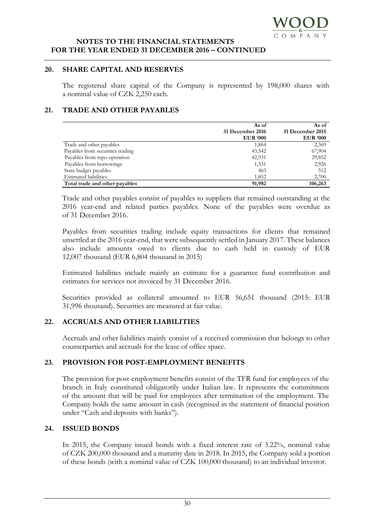#### **20. SHARE CAPITAL AND RESERVES**

The registered share capital of the Company is represented by 198,000 shares with a nominal value of CZK 2,250 each.

# **21. TRADE AND OTHER PAYABLES**

|                                  | As of<br>31 December 2016 | As of<br>31 December 2015 |
|----------------------------------|---------------------------|---------------------------|
|                                  | <b>EUR</b> '000           | <b>EUR</b> '000           |
| Trade and other payables         | 1,864                     | 2,369                     |
| Payables from securities trading | 43,542                    | 67,904                    |
| Payables from repo operation     | 42,931                    | 29,852                    |
| Payables from borrowings         | 1,331                     | 2,926                     |
| State budget payables            | 463                       | 512                       |
| <b>Estimated liabilities</b>     | 1,852                     | 2,700                     |
| Total trade and other payables   | 91,982                    | 106,263                   |

Trade and other payables consist of payables to suppliers that remained outstanding at the 2016 year-end and related parties payables. None of the payables were overdue as of 31 December 2016.

Payables from securities trading include equity transactions for clients that remained unsettled at the 2016 year-end, that were subsequently settled in January 2017. These balances also include amounts owed to clients due to cash held in custody of EUR 12,007 thousand (EUR 6,804 thousand in 2015)

Estimated liabilities include mainly an estimate for a guarantee fund contribution and estimates for services not invoiced by 31 December 2016.

Securities provided as collateral amounted to EUR 56,651 thousand (2015: EUR 31,996 thousand). Securities are measured at fair value.

# **22. ACCRUALS AND OTHER LIABILITIES**

Accruals and other liabilities mainly consist of a received commission that belongs to other counterparties and accruals for the lease of office space.

# **23. PROVISION FOR POST-EMPLOYMENT BENEFITS**

The provision for post-employment benefits consist of the TFR fund for employees of the branch in Italy constituted obligatorily under Italian law. It represents the commitment of the amount that will be paid for employees after termination of the employment. The Company holds the same amount in cash (recognised in the statement of financial position under "Cash and deposits with banks").

# **24. ISSUED BONDS**

In 2015, the Company issued bonds with a fixed interest rate of 3.22%, nominal value of CZK 200,000 thousand and a maturity date in 2018. In 2015, the Company sold a portion of these bonds (with a nominal value of CZK 100,000 thousand) to an individual investor.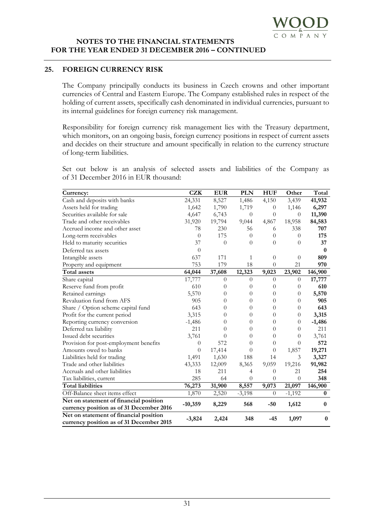

#### **25. FOREIGN CURRENCY RISK**

The Company principally conducts its business in Czech crowns and other important currencies of Central and Eastern Europe. The Company established rules in respect of the holding of current assets, specifically cash denominated in individual currencies, pursuant to its internal guidelines for foreign currency risk management.

Responsibility for foreign currency risk management lies with the Treasury department, which monitors, on an ongoing basis, foreign currency positions in respect of current assets and decides on their structure and amount specifically in relation to the currency structure of long-term liabilities.

Set out below is an analysis of selected assets and liabilities of the Company as of 31 December 2016 in EUR thousand:

| Currency:                                                                          | <b>CZK</b> | <b>EUR</b> | <b>PLN</b>     | <b>HUF</b>     | Other    | Total    |
|------------------------------------------------------------------------------------|------------|------------|----------------|----------------|----------|----------|
| Cash and deposits with banks                                                       | 24,331     | 8,527      | 1,486          | 4,150          | 3,439    | 41,932   |
| Assets held for trading                                                            | 1,642      | 1,790      | 1,719          | $\Omega$       | 1,146    | 6,297    |
| Securities available for sale                                                      | 4,647      | 6,743      | $\theta$       | $\overline{0}$ | $\theta$ | 11,390   |
| Trade and other receivables                                                        | 31,920     | 19,794     | 9,044          | 4,867          | 18,958   | 84,583   |
| Accrued income and other asset                                                     | 78         | 230        | 56             | 6              | 338      | 707      |
| Long-term receivables                                                              | $\theta$   | 175        | $\Omega$       | $\Omega$       | $\theta$ | 175      |
| Held to maturity securities                                                        | 37         | $\Omega$   | $\theta$       | $\theta$       | $\theta$ | 37       |
| Deferred tax assets                                                                | $\theta$   |            |                |                |          | 0        |
| Intangible assets                                                                  | 637        | 171        | 1              | $\theta$       | $\theta$ | 809      |
| Property and equipment                                                             | 753        | 179        | 18             | $\theta$       | 21       | 970      |
| <b>Total assets</b>                                                                | 64,044     | 37,608     | 12,323         | 9,023          | 23,902   | 146,900  |
| Share capital                                                                      | 17,777     | $\Omega$   | $\overline{0}$ | $\theta$       | $\theta$ | 17,777   |
| Reserve fund from profit                                                           | 610        | $\theta$   | $\theta$       | $\theta$       | $\theta$ | 610      |
| Retained earnings                                                                  | 5,570      | $\Omega$   | 0              | 0              | $\theta$ | 5,570    |
| Revaluation fund from AFS                                                          | 905        | $\theta$   | 0              | $\theta$       | $\theta$ | 905      |
| Share / Option scheme capital fund                                                 | 643        | $\Omega$   | $\Omega$       | $\theta$       | $\theta$ | 643      |
| Profit for the current period                                                      | 3,315      | $\theta$   | 0              | $\theta$       | $\theta$ | 3,315    |
| Reporting currency conversion                                                      | $-1,486$   | 0          | 0              | $\Omega$       | $\theta$ | $-1,486$ |
| Deferred tax liability                                                             | 211        | 0          | 0              | 0              | $\theta$ | 211      |
| Issued debt securities                                                             | 3,761      | $\Omega$   | 0              | 0              | $\theta$ | 3,761    |
| Provision for post-employment benefits                                             | $\theta$   | 572        | 0              | $\theta$       | $\theta$ | 572      |
| Amounts owed to banks                                                              | $\theta$   | 17,414     | $\overline{0}$ | $\theta$       | 1,857    | 19,271   |
| Liabilities held for trading                                                       | 1,491      | 1,630      | 188            | 14             | 3        | 3,327    |
| Trade and other liabilities                                                        | 43,333     | 12,009     | 8,365          | 9,059          | 19,216   | 91,982   |
| Accruals and other liabilities                                                     | 18         | 211        | $\overline{4}$ | $\Omega$       | 21       | 254      |
| Tax liabilities, current                                                           | 285        | 64         | $\overline{0}$ | $\overline{0}$ | $\theta$ | 348      |
| <b>Total liabilities</b>                                                           | 76,273     | 31,900     | 8,557          | 9,073          | 21,097   | 146,900  |
| Off-Balance sheet items effect                                                     | 1,870      | 2,520      | $-3,198$       | $\Omega$       | $-1,192$ | $\bf{0}$ |
| Net on statement of financial position                                             |            | 8,229      | 568            | -50            |          | $\bf{0}$ |
| currency position as of 31 December 2016                                           | -10,359    |            |                |                | 1,612    |          |
| Net on statement of financial position<br>currency position as of 31 December 2015 | $-3,824$   | 2,424      | 348            | $-45$          | 1,097    | $\bf{0}$ |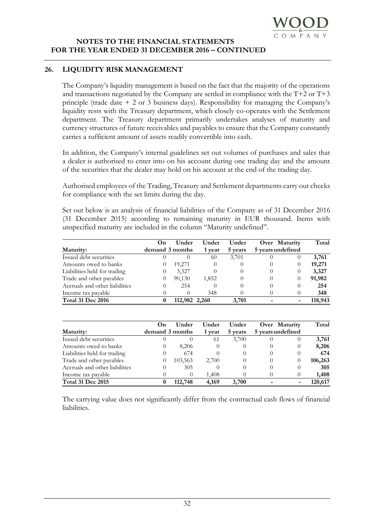

# **26. LIQUIDITY RISK MANAGEMENT**

The Company's liquidity management is based on the fact that the majority of the operations and transactions negotiated by the Company are settled in compliance with the  $T+2$  or  $T+3$ principle (trade date + 2 or 3 business days). Responsibility for managing the Company's liquidity rests with the Treasury department, which closely co-operates with the Settlement department. The Treasury department primarily undertakes analyses of maturity and currency structures of future receivables and payables to ensure that the Company constantly carries a sufficient amount of assets readily convertible into cash.

In addition, the Company's internal guidelines set out volumes of purchases and sales that a dealer is authorised to enter into on his account during one trading day and the amount of the securities that the dealer may hold on his account at the end of the trading day.

Authorised employees of the Trading, Treasury and Settlement departments carry out checks for compliance with the set limits during the day.

Set out below is an analysis of financial liabilities of the Company as of 31 December 2016 (31 December 2015) according to remaining maturity in EUR thousand. Items with unspecified maturity are included in the column "Maturity undefined".

|                                | On              | Under         | Under            | Under    | Over Maturity     | Total   |
|--------------------------------|-----------------|---------------|------------------|----------|-------------------|---------|
| Maturity:                      | demand 3 months |               | 1 year           | 5 years  | 5 years undefined |         |
| Issued debt securities         |                 |               | 60               | 3,701    |                   | 3,761   |
| Amounts owed to banks          | 0               | 19,271        | $\theta$         |          |                   | 19,271  |
| Liabilities held for trading   | 0               | 3,327         | $\left( \right)$ | $\theta$ | $\theta$          | 3,327   |
| Trade and other payables       | 0               | 90,130        | 1,852            | $\theta$ | $\theta$          | 91,982  |
| Accruals and other liabilities | $\Omega$        | 254           | $\theta$         | $^{(1)}$ | $\theta$          | 254     |
| Income tax payable             |                 |               | 348              | $\theta$ | $\theta$          | 348     |
| <b>Total 31 Dec 2016</b>       |                 | 112,982 2,260 |                  | 3,701    |                   | 118,943 |

|                                | $\mathbf{On}$    | Under   | Under  | Under   |                   | Over Maturity | Total   |
|--------------------------------|------------------|---------|--------|---------|-------------------|---------------|---------|
| Maturity:                      | demand 3 months  |         | 1 year | 5 years | 5 years undefined |               |         |
| Issued debt securities         | O                |         | 61     | 3,700   |                   |               | 3,761   |
| Amounts owed to banks          | 0                | 8,206   |        |         |                   | $\theta$      | 8,206   |
| Liabilities held for trading   | $\theta$         | 674     |        |         | $\left( \right)$  | $\theta$      | 674     |
| Trade and other payables       | O                | 103,563 | 2,700  |         | 0                 |               | 106,263 |
| Accruals and other liabilities | $\left( \right)$ | 305     |        |         | $\left( \right)$  | $\theta$      | 305     |
| Income tax payable             |                  | 0       | 1.408  |         |                   | $\Omega$      | 1,408   |
| <b>Total 31 Dec 2015</b>       |                  | 112,748 | 4,169  | 3,700   |                   |               | 120,617 |

The carrying value does not significantly differ from the contractual cash flows of financial liabilities.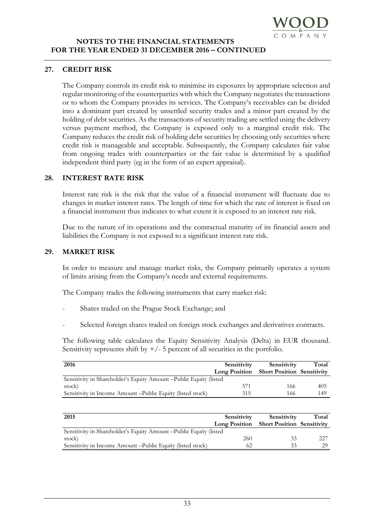

# **27. CREDIT RISK**

The Company controls its credit risk to minimise its exposures by appropriate selection and regular monitoring of the counterparties with which the Company negotiates the transactions or to whom the Company provides its services. The Company's receivables can be divided into a dominant part created by unsettled security trades and a minor part created by the holding of debt securities. As the transactions of security trading are settled using the delivery versus payment method, the Company is exposed only to a marginal credit risk. The Company reduces the credit risk of holding debt securities by choosing only securities where credit risk is manageable and acceptable. Subsequently, the Company calculates fair value from ongoing trades with counterparties or the fair value is determined by a qualified independent third party (eg in the form of an expert appraisal).

# **28. INTEREST RATE RISK**

Interest rate risk is the risk that the value of a financial instrument will fluctuate due to changes in market interest rates. The length of time for which the rate of interest is fixed on a financial instrument thus indicates to what extent it is exposed to an interest rate risk.

Due to the nature of its operations and the contractual maturity of its financial assets and liabilities the Company is not exposed to a significant interest rate risk.

# **29. MARKET RISK**

In order to measure and manage market risks, the Company primarily operates a system of limits arising from the Company's needs and external requirements.

The Company trades the following instruments that carry market risk:

- Shares traded on the Prague Stock Exchange; and
- Selected foreign shares traded on foreign stock exchanges and derivatives contracts.

The following table calculates the Equity Sensitivity Analysis (Delta) in EUR thousand. Sensitivity represents shift by  $+/-$  5 percent of all securities in the portfolio.

| 2016                                                               | Sensitivity                              | Sensitivity | Total |
|--------------------------------------------------------------------|------------------------------------------|-------------|-------|
|                                                                    | Long Position Short Position Sensitivity |             |       |
| Sensitivity in Shareholder's Equity Amount - Public Equity (listed |                                          |             |       |
| stock)                                                             | 571                                      | 166         | 405   |
| Sensitivity in Income Amount - Public Equity (listed stock)        | 315                                      | 166         | 149   |

| 2015                                                               | Sensitivity | Sensitivity<br>Long Position Short Position Sensitivity | Total |
|--------------------------------------------------------------------|-------------|---------------------------------------------------------|-------|
| Sensitivity in Shareholder's Equity Amount - Public Equity (listed |             |                                                         |       |
| stock)                                                             | 260         | 33                                                      | 227   |
| Sensitivity in Income Amount - Public Equity (listed stock)        | 62          | 33                                                      |       |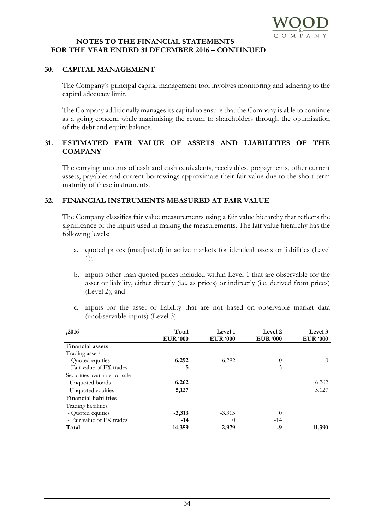

#### **30. CAPITAL MANAGEMENT**

The Company's principal capital management tool involves monitoring and adhering to the capital adequacy limit.

The Company additionally manages its capital to ensure that the Company is able to continue as a going concern while maximising the return to shareholders through the optimisation of the debt and equity balance.

# **31. ESTIMATED FAIR VALUE OF ASSETS AND LIABILITIES OF THE COMPANY**

The carrying amounts of cash and cash equivalents, receivables, prepayments, other current assets, payables and current borrowings approximate their fair value due to the short-term maturity of these instruments.

# **32. FINANCIAL INSTRUMENTS MEASURED AT FAIR VALUE**

The Company classifies fair value measurements using a fair value hierarchy that reflects the significance of the inputs used in making the measurements. The fair value hierarchy has the following levels:

- a. quoted prices (unadjusted) in active markets for identical assets or liabilities (Level 1);
- b. inputs other than quoted prices included within Level 1 that are observable for the asset or liability, either directly (i.e. as prices) or indirectly (i.e. derived from prices) (Level 2); and
- c. inputs for the asset or liability that are not based on observable market data (unobservable inputs) (Level 3).

| ,2016                         | Total           | Level 1         | Level 2         | Level 3         |
|-------------------------------|-----------------|-----------------|-----------------|-----------------|
|                               | <b>EUR '000</b> | <b>EUR '000</b> | <b>EUR '000</b> | <b>EUR '000</b> |
| <b>Financial assets</b>       |                 |                 |                 |                 |
| Trading assets                |                 |                 |                 |                 |
| - Quoted equities             | 6,292           | 6,292           | $\theta$        | $\Omega$        |
| - Fair value of FX trades     | 5               |                 | 5               |                 |
| Securities available for sale |                 |                 |                 |                 |
| -Unquoted bonds               | 6,262           |                 |                 | 6,262           |
| -Unquoted equities            | 5,127           |                 |                 | 5,127           |
| <b>Financial liabilities</b>  |                 |                 |                 |                 |
| Trading liabilities           |                 |                 |                 |                 |
| - Quoted equities             | $-3,313$        | $-3,313$        | $\theta$        |                 |
| - Fair value of FX trades     | $-14$           | $\theta$        | $-14$           |                 |
| Total                         | 14,359          | 2,979           | -9              | 11,390          |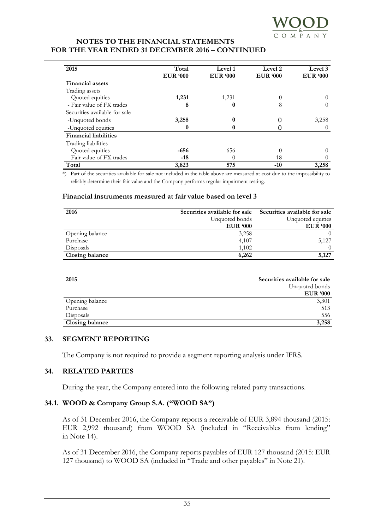

| 2015                          | Total           | Level 1         | Level 2         | Level 3         |
|-------------------------------|-----------------|-----------------|-----------------|-----------------|
|                               | <b>EUR</b> '000 | <b>EUR '000</b> | <b>EUR '000</b> | <b>EUR '000</b> |
| <b>Financial assets</b>       |                 |                 |                 |                 |
| Trading assets                |                 |                 |                 |                 |
| - Quoted equities             | 1,231           | 1,231           | $\theta$        | $\theta$        |
| - Fair value of FX trades     | 8               | 0               | 8               | $\Omega$        |
| Securities available for sale |                 |                 |                 |                 |
| -Unquoted bonds               | 3,258           | 0               |                 | 3,258           |
| -Unquoted equities            | 0               | 0               |                 | $\theta$        |
| <b>Financial liabilities</b>  |                 |                 |                 |                 |
| Trading liabilities           |                 |                 |                 |                 |
| - Quoted equities             | -656            | $-656$          | $\Omega$        | $\theta$        |
| - Fair value of FX trades     | -18             | 0               | $-18$           | $\theta$        |
| Total                         | 3,823           | 575             | $-10$           | 3,258           |

\*) Part of the securities available for sale not included in the table above are measured at cost due to the impossibility to reliably determine their fair value and the Company performs regular impairment testing.

#### **Financial instruments measured at fair value based on level 3**

| 2016            | Securities available for sale | Securities available for sale |
|-----------------|-------------------------------|-------------------------------|
|                 | Unquoted bonds                | Unquoted equities             |
|                 | <b>EUR '000</b>               | <b>EUR '000</b>               |
| Opening balance | 3,258                         |                               |
| Purchase        | 4,107                         | 5,127                         |
| Disposals       | 1.102                         |                               |
| Closing balance | 6,262                         | 5,127                         |

| 2015                   | Securities available for sale |
|------------------------|-------------------------------|
|                        | Unquoted bonds                |
|                        | <b>EUR '000</b>               |
| Opening balance        | 3,301                         |
| Purchase               | 513                           |
| Disposals              | 556                           |
| <b>Closing balance</b> | 3,258                         |

# **33. SEGMENT REPORTING**

The Company is not required to provide a segment reporting analysis under IFRS.

# **34. RELATED PARTIES**

During the year, the Company entered into the following related party transactions.

# **34.1. WOOD & Company Group S.A. ("WOOD SA")**

As of 31 December 2016, the Company reports a receivable of EUR 3,894 thousand (2015: EUR 2,992 thousand) from WOOD SA (included in "Receivables from lending" in Note 14).

As of 31 December 2016, the Company reports payables of EUR 127 thousand (2015: EUR 127 thousand) to WOOD SA (included in "Trade and other payables" in Note 21).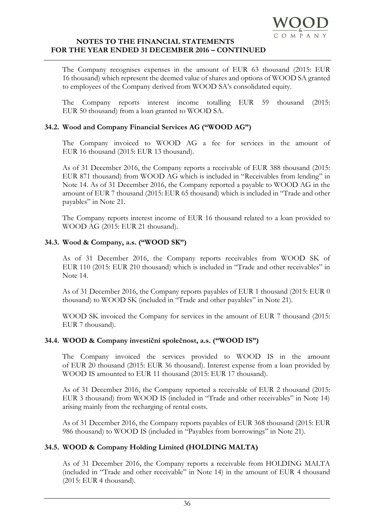

The Company recognises expenses in the amount of EUR 63 thousand (2015: EUR 16 thousand) which represent the deemed value of shares and options of WOOD SA granted to employees of the Company derived from WOOD SA's consolidated equity.

The Company reports interest income totalling EUR 59 thousand (2015: EUR 50 thousand) from a loan granted to WOOD SA.

# **34.2. Wood and Company Financial Services AG ("WOOD AG")**

The Company invoiced to WOOD AG a fee for services in the amount of EUR 16 thousand (2015: EUR 13 thousand).

As of 31 December 2016, the Company reports a receivable of EUR 388 thousand (2015: EUR 871 thousand) from WOOD AG which is included in "Receivables from lending" in Note 14. As of 31 December 2016, the Company reported a payable to WOOD AG in the amount of EUR 7 thousand (2015: EUR 65 thousand) which is included in "Trade and other payables" in Note 21.

The Company reports interest income of EUR 16 thousand related to a loan provided to WOOD AG (2015: EUR 21 thousand).

# **34.3. Wood & Company, a.s. ("WOOD SK")**

As of 31 December 2016, the Company reports receivables from WOOD SK of EUR 110 (2015: EUR 210 thousand) which is included in "Trade and other receivables" in Note 14.

As of 31 December 2016, the Company reports payables of EUR 1 thousand (2015: EUR 0 thousand) to WOOD SK (included in "Trade and other payables" in Note 21).

WOOD SK invoiced the Company for services in the amount of EUR 7 thousand (2015: EUR 7 thousand).

# **34.4. WOOD & Company investiční společnost, a.s. ("WOOD IS")**

The Company invoiced the services provided to WOOD IS in the amount of EUR 20 thousand (2015: EUR 36 thousand). Interest expense from a loan provided by WOOD IS amounted to EUR 11 thousand (2015: EUR 17 thousand).

As of 31 December 2016, the Company reported a receivable of EUR 2 thousand (2015: EUR 3 thousand) from WOOD IS (included in "Trade and other receivables" in Note 14) arising mainly from the recharging of rental costs.

As of 31 December 2016, the Company reports payables of EUR 368 thousand (2015: EUR 986 thousand) to WOOD IS (included in "Payables from borrowings" in Note 21).

# **34.5. WOOD & Company Holding Limited (HOLDING MALTA)**

As of 31 December 2016, the Company reports a receivable from HOLDING MALTA (included in "Trade and other receivable" in Note 14) in the amount of EUR 4 thousand (2015: EUR 4 thousand).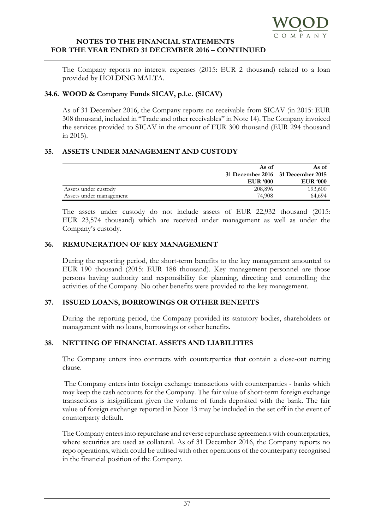

The Company reports no interest expenses (2015: EUR 2 thousand) related to a loan provided by HOLDING MALTA.

# **34.6. WOOD & Company Funds SICAV, p.l.c. (SICAV)**

As of 31 December 2016, the Company reports no receivable from SICAV (in 2015: EUR 308 thousand, included in "Trade and other receivables" in Note 14). The Company invoiced the services provided to SICAV in the amount of EUR 300 thousand (EUR 294 thousand in 2015).

# **35. ASSETS UNDER MANAGEMENT AND CUSTODY**

|                         | As of                             | As of           |
|-------------------------|-----------------------------------|-----------------|
|                         | 31 December 2016 31 December 2015 |                 |
|                         | <b>EUR '000</b>                   | <b>EUR</b> '000 |
| Assets under custody    | 208,896                           | 193,600         |
| Assets under management | 74.908                            | 64.694          |

The assets under custody do not include assets of EUR 22,932 thousand (2015: EUR 23,574 thousand) which are received under management as well as under the Company's custody.

# **36. REMUNERATION OF KEY MANAGEMENT**

During the reporting period, the short-term benefits to the key management amounted to EUR 190 thousand (2015: EUR 188 thousand). Key management personnel are those persons having authority and responsibility for planning, directing and controlling the activities of the Company. No other benefits were provided to the key management.

# **37. ISSUED LOANS, BORROWINGS OR OTHER BENEFITS**

During the reporting period, the Company provided its statutory bodies, shareholders or management with no loans, borrowings or other benefits.

# **38. NETTING OF FINANCIAL ASSETS AND LIABILITIES**

The Company enters into contracts with counterparties that contain a close-out netting clause.

The Company enters into foreign exchange transactions with counterparties - banks which may keep the cash accounts for the Company. The fair value of short-term foreign exchange transactions is insignificant given the volume of funds deposited with the bank. The fair value of foreign exchange reported in Note 13 may be included in the set off in the event of counterparty default.

The Company enters into repurchase and reverse repurchase agreements with counterparties, where securities are used as collateral. As of 31 December 2016, the Company reports no repo operations, which could be utilised with other operations of the counterparty recognised in the financial position of the Company.